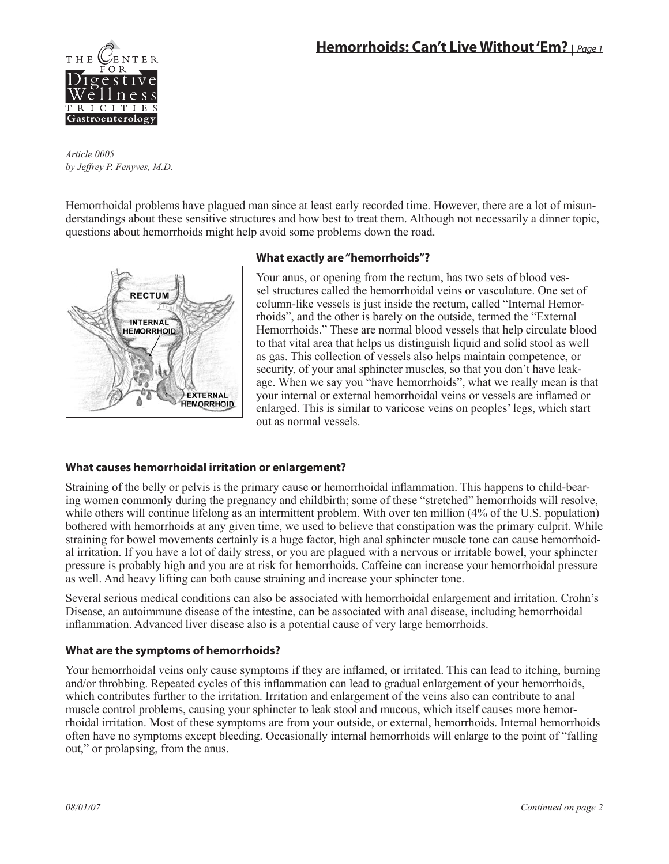

*Article 0005 by Jeffrey P. Fenyves, M.D.*

Hemorrhoidal problems have plagued man since at least early recorded time. However, there are a lot of misunderstandings about these sensitive structures and how best to treat them. Although not necessarily a dinner topic, questions about hemorrhoids might help avoid some problems down the road.



# **What exactly are "hemorrhoids"?**

Your anus, or opening from the rectum, has two sets of blood vessel structures called the hemorrhoidal veins or vasculature. One set of column-like vessels is just inside the rectum, called "Internal Hemorrhoids", and the other is barely on the outside, termed the "External Hemorrhoids." These are normal blood vessels that help circulate blood to that vital area that helps us distinguish liquid and solid stool as well as gas. This collection of vessels also helps maintain competence, or security, of your anal sphincter muscles, so that you don't have leakage. When we say you "have hemorrhoids", what we really mean is that your internal or external hemorrhoidal veins or vessels are inflamed or enlarged. This is similar to varicose veins on peoples' legs, which start out as normal vessels.

# **What causes hemorrhoidal irritation or enlargement?**

Straining of the belly or pelvis is the primary cause or hemorrhoidal inflammation. This happens to child-bearing women commonly during the pregnancy and childbirth; some of these "stretched" hemorrhoids will resolve, while others will continue lifelong as an intermittent problem. With over ten million (4% of the U.S. population) bothered with hemorrhoids at any given time, we used to believe that constipation was the primary culprit. While straining for bowel movements certainly is a huge factor, high anal sphincter muscle tone can cause hemorrhoidal irritation. If you have a lot of daily stress, or you are plagued with a nervous or irritable bowel, your sphincter pressure is probably high and you are at risk for hemorrhoids. Caffeine can increase your hemorrhoidal pressure as well. And heavy lifting can both cause straining and increase your sphincter tone.

Several serious medical conditions can also be associated with hemorrhoidal enlargement and irritation. Crohn's Disease, an autoimmune disease of the intestine, can be associated with anal disease, including hemorrhoidal inflammation. Advanced liver disease also is a potential cause of very large hemorrhoids.

# **What are the symptoms of hemorrhoids?**

Your hemorrhoidal veins only cause symptoms if they are inflamed, or irritated. This can lead to itching, burning and/or throbbing. Repeated cycles of this inflammation can lead to gradual enlargement of your hemorrhoids, which contributes further to the irritation. Irritation and enlargement of the veins also can contribute to anal muscle control problems, causing your sphincter to leak stool and mucous, which itself causes more hemorrhoidal irritation. Most of these symptoms are from your outside, or external, hemorrhoids. Internal hemorrhoids often have no symptoms except bleeding. Occasionally internal hemorrhoids will enlarge to the point of "falling out," or prolapsing, from the anus.